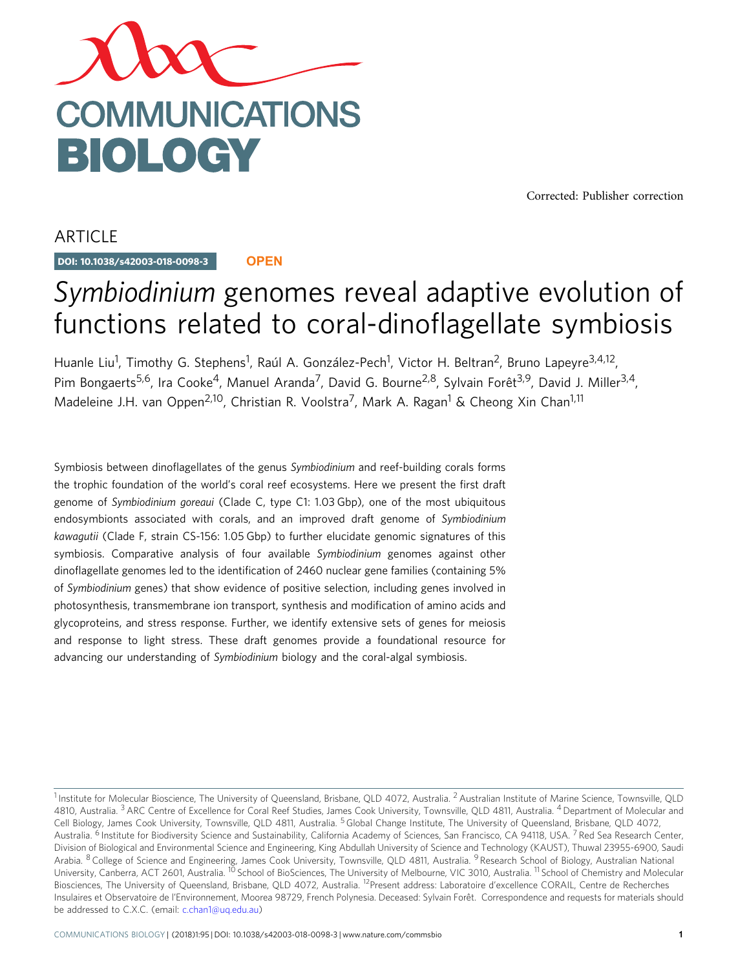

[Corrected: Publisher correction](www.nature.com/articles/s42003-018-0117-4)

ARTICLE

DOI: 10.1038/s42003-018-0098-3 **OPEN**

# Symbiodinium genomes reveal adaptive evolution of functions related to coral-dinoflagellate symbiosis

Huanle Liu<sup>1</sup>, Timothy G. Stephens<sup>1</sup>, Raúl A. González-Pech<sup>1</sup>, Victor H. Beltran<sup>2</sup>, Bruno Lapeyre<sup>3,4,12</sup>, Pim Bongaerts<sup>5,6</sup>, Ira Cooke<sup>4</sup>, Manuel Aranda<sup>7</sup>, David G. Bourne<sup>2,8</sup>, Sylvain Forêt<sup>3,9</sup>, David J. Miller<sup>3,4</sup>, Madeleine J.H. van Oppen<sup>2,10</sup>, Christian R. Voolstra<sup>7</sup>, Mark A. Ragan<sup>1</sup> & Cheong Xin Chan<sup>1,11</sup>

Symbiosis between dinoflagellates of the genus Symbiodinium and reef-building corals forms the trophic foundation of the world's coral reef ecosystems. Here we present the first draft genome of Symbiodinium goreaui (Clade C, type C1: 1.03 Gbp), one of the most ubiquitous endosymbionts associated with corals, and an improved draft genome of Symbiodinium kawagutii (Clade F, strain CS-156: 1.05 Gbp) to further elucidate genomic signatures of this symbiosis. Comparative analysis of four available Symbiodinium genomes against other dinoflagellate genomes led to the identification of 2460 nuclear gene families (containing 5% of Symbiodinium genes) that show evidence of positive selection, including genes involved in photosynthesis, transmembrane ion transport, synthesis and modification of amino acids and glycoproteins, and stress response. Further, we identify extensive sets of genes for meiosis and response to light stress. These draft genomes provide a foundational resource for advancing our understanding of Symbiodinium biology and the coral-algal symbiosis.

<sup>&</sup>lt;sup>1</sup> Institute for Molecular Bioscience, The University of Queensland, Brisbane, QLD 4072, Australia.<sup>2</sup> Australian Institute of Marine Science, Townsville, OLD 4810, Australia. <sup>3</sup> ARC Centre of Excellence for Coral Reef Studies, James Cook University, Townsville, QLD 4811, Australia. <sup>4</sup> Department of Molecular and Cell Biology, James Cook University, Townsville, QLD 4811, Australia. <sup>5</sup> Global Change Institute, The University of Queensland, Brisbane, QLD 4072, Australia. <sup>6</sup> Institute for Biodiversity Science and Sustainability, California Academy of Sciences, San Francisco, CA 94118, USA. <sup>7</sup> Red Sea Research Center, Division of Biological and Environmental Science and Engineering, King Abdullah University of Science and Technology (KAUST), Thuwal 23955-6900, Saudi Arabia. <sup>8</sup> College of Science and Engineering, James Cook University, Townsville, QLD 4811, Australia. <sup>9</sup> Research School of Biology, Australian National University, Canberra, ACT 2601, Australia. <sup>10</sup> School of BioSciences, The University of Melbourne, VIC 3010, Australia. <sup>11</sup> School of Chemistry and Molecular Biosciences, The University of Queensland, Brisbane, QLD 4072, Australia. 12Present address: Laboratoire d'excellence CORAIL, Centre de Recherches Insulaires et Observatoire de l'Environnement, Moorea 98729, French Polynesia. Deceased: Sylvain Forêt. Correspondence and requests for materials should be addressed to C.X.C. (email: [c.chan1@uq.edu.au\)](mailto:c.chan1@uq.edu.au)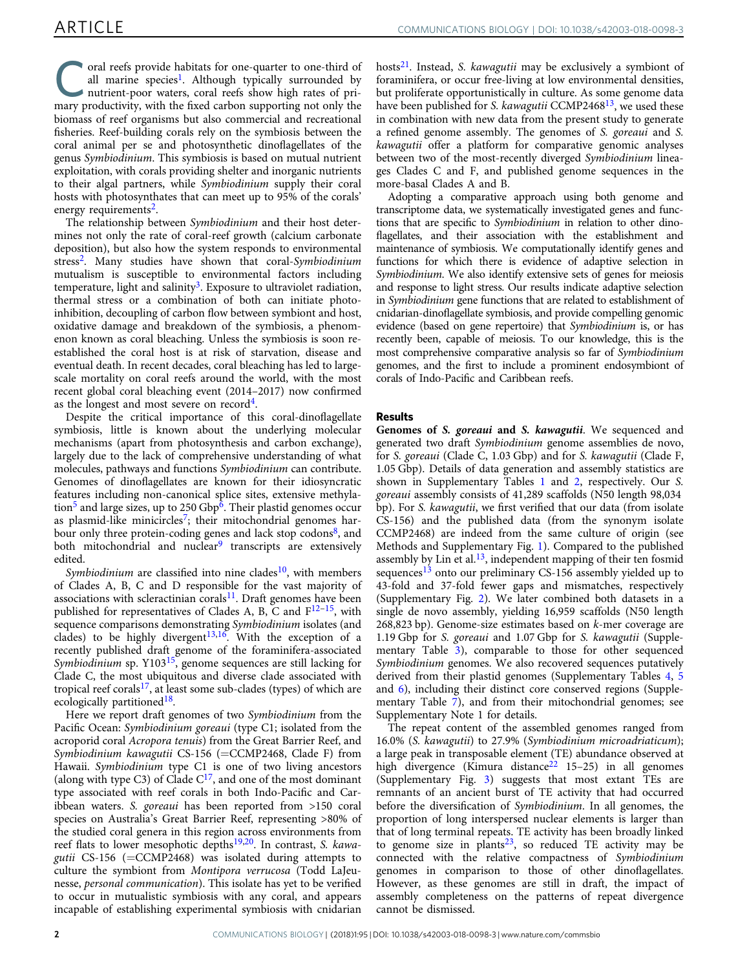Coral reefs provide habitats for one-quarter to one-third of all marine species<sup>1</sup>. Although typically surrounded by nutrient-poor waters, coral reefs show high rates of priall marine species<sup>1</sup>. Although typically surrounded by mary productivity, with the fixed carbon supporting not only the biomass of reef organisms but also commercial and recreational fisheries. Reef-building corals rely on the symbiosis between the coral animal per se and photosynthetic dinoflagellates of the genus Symbiodinium. This symbiosis is based on mutual nutrient exploitation, with corals providing shelter and inorganic nutrients to their algal partners, while Symbiodinium supply their coral hosts with photosynthates that can meet up to 95% of the corals' energy requirements<sup>2</sup>.

The relationship between Symbiodinium and their host determines not only the rate of coral-reef growth (calcium carbonate deposition), but also how the system responds to environmental stress<sup>2</sup>. Many studies have shown that coral-Symbiodinium mutualism is susceptible to environmental factors including temperature, light and salinity<sup>3</sup>. Exposure to ultraviolet radiation, thermal stress or a combination of both can initiate photoinhibition, decoupling of carbon flow between symbiont and host, oxidative damage and breakdown of the symbiosis, a phenomenon known as coral bleaching. Unless the symbiosis is soon reestablished the coral host is at risk of starvation, disease and eventual death. In recent decades, coral bleaching has led to largescale mortality on coral reefs around the world, with the most recent global coral bleaching event (2014–2017) now confirmed as the longest and most severe on record<sup>4</sup>.

Despite the critical importance of this coral-dinoflagellate symbiosis, little is known about the underlying molecular mechanisms (apart from photosynthesis and carbon exchange), largely due to the lack of comprehensive understanding of what molecules, pathways and functions Symbiodinium can contribute. Genomes of dinoflagellates are known for their idiosyncratic features including non-canonical splice sites, extensive methyla-tion<sup>[5](#page-9-0)</sup> and large sizes, up to 250 Gbp<sup>6</sup>. Their plastid genomes occur as plasmid-like minicircles<sup>[7](#page-9-0)</sup>; their mitochondrial genomes harbour only three protein-coding genes and lack stop codons<sup>8</sup>, and both mitochondrial and nuclear<sup>[9](#page-9-0)</sup> transcripts are extensively edited.

Symbiodinium are classified into nine clades<sup>10</sup>, with members of Clades A, B, C and D responsible for the vast majority of associations with scleractinian corals<sup>[11](#page-9-0)</sup>. Draft genomes have been published for representatives of Clades A, B, C and  $F^{12-15}$  $F^{12-15}$  $F^{12-15}$ , with sequence comparisons demonstrating Symbiodinium isolates (and clades) to be highly divergent<sup>13,16</sup>. With the exception of a recently published draft genome of the foraminifera-associated Symbiodinium sp.  $Y103^{15}$ , genome sequences are still lacking for Clade C, the most ubiquitous and diverse clade associated with tropical reef corals<sup>17</sup>, at least some sub-clades (types) of which are ecologically partitioned<sup>18</sup>.

Here we report draft genomes of two Symbiodinium from the Pacific Ocean: Symbiodinium goreaui (type C1; isolated from the acroporid coral Acropora tenuis) from the Great Barrier Reef, and Symbiodinium kawagutii CS-156 (=CCMP2468, Clade F) from Hawaii. Symbiodinium type C1 is one of two living ancestors (along with type C3) of Clade  $C^{17}$ , and one of the most dominant type associated with reef corals in both Indo-Pacific and Caribbean waters. S. goreaui has been reported from >150 coral species on Australia's Great Barrier Reef, representing >80% of the studied coral genera in this region across environments from reef flats to lower mesophotic depths<sup>19,20</sup>. In contrast, S. kawagutii CS-156 (=CCMP2468) was isolated during attempts to culture the symbiont from Montipora verrucosa (Todd LaJeunesse, personal communication). This isolate has yet to be verified to occur in mutualistic symbiosis with any coral, and appears incapable of establishing experimental symbiosis with cnidarian

hosts $^{21}$  $^{21}$  $^{21}$ . Instead, S. kawagutii may be exclusively a symbiont of foraminifera, or occur free-living at low environmental densities, but proliferate opportunistically in culture. As some genome data have been published for S. kawagutii CCMP2468 $13$ , we used these in combination with new data from the present study to generate a refined genome assembly. The genomes of S. goreaui and S. kawagutii offer a platform for comparative genomic analyses between two of the most-recently diverged Symbiodinium lineages Clades C and F, and published genome sequences in the more-basal Clades A and B.

Adopting a comparative approach using both genome and transcriptome data, we systematically investigated genes and functions that are specific to Symbiodinium in relation to other dinoflagellates, and their association with the establishment and maintenance of symbiosis. We computationally identify genes and functions for which there is evidence of adaptive selection in Symbiodinium. We also identify extensive sets of genes for meiosis and response to light stress. Our results indicate adaptive selection in Symbiodinium gene functions that are related to establishment of cnidarian-dinoflagellate symbiosis, and provide compelling genomic evidence (based on gene repertoire) that Symbiodinium is, or has recently been, capable of meiosis. To our knowledge, this is the most comprehensive comparative analysis so far of Symbiodinium genomes, and the first to include a prominent endosymbiont of corals of Indo-Pacific and Caribbean reefs.

#### Results

Genomes of S. goreaui and S. kawagutii. We sequenced and generated two draft Symbiodinium genome assemblies de novo, for S. goreaui (Clade C, 1.03 Gbp) and for S. kawagutii (Clade F, 1.05 Gbp). Details of data generation and assembly statistics are shown in Supplementary Tables 1 and 2, respectively. Our S. goreaui assembly consists of 41,289 scaffolds (N50 length 98,034 bp). For S. kawagutii, we first verified that our data (from isolate CS-156) and the published data (from the synonym isolate CCMP2468) are indeed from the same culture of origin (see Methods and Supplementary Fig. 1). Compared to the published assembly by Lin et al.<sup>[13](#page-9-0)</sup>, independent mapping of their ten fosmid sequences<sup>[13](#page-9-0)</sup> onto our preliminary CS-156 assembly yielded up to 43-fold and 37-fold fewer gaps and mismatches, respectively (Supplementary Fig. 2). We later combined both datasets in a single de novo assembly, yielding 16,959 scaffolds (N50 length 268,823 bp). Genome-size estimates based on k-mer coverage are 1.19 Gbp for S. goreaui and 1.07 Gbp for S. kawagutii (Supplementary Table 3), comparable to those for other sequenced Symbiodinium genomes. We also recovered sequences putatively derived from their plastid genomes (Supplementary Tables 4, 5 and 6), including their distinct core conserved regions (Supplementary Table 7), and from their mitochondrial genomes; see Supplementary Note 1 for details.

The repeat content of the assembled genomes ranged from 16.0% (S. kawagutii) to 27.9% (Symbiodinium microadriaticum); a large peak in transposable element (TE) abundance observed at high divergence (Kimura distance<sup>[22](#page-9-0)</sup> 15–25) in all genomes (Supplementary Fig. 3) suggests that most extant TEs are remnants of an ancient burst of TE activity that had occurred before the diversification of Symbiodinium. In all genomes, the proportion of long interspersed nuclear elements is larger than that of long terminal repeats. TE activity has been broadly linked to genome size in plants<sup>23</sup>, so reduced TE activity may be connected with the relative compactness of Symbiodinium genomes in comparison to those of other dinoflagellates. However, as these genomes are still in draft, the impact of assembly completeness on the patterns of repeat divergence cannot be dismissed.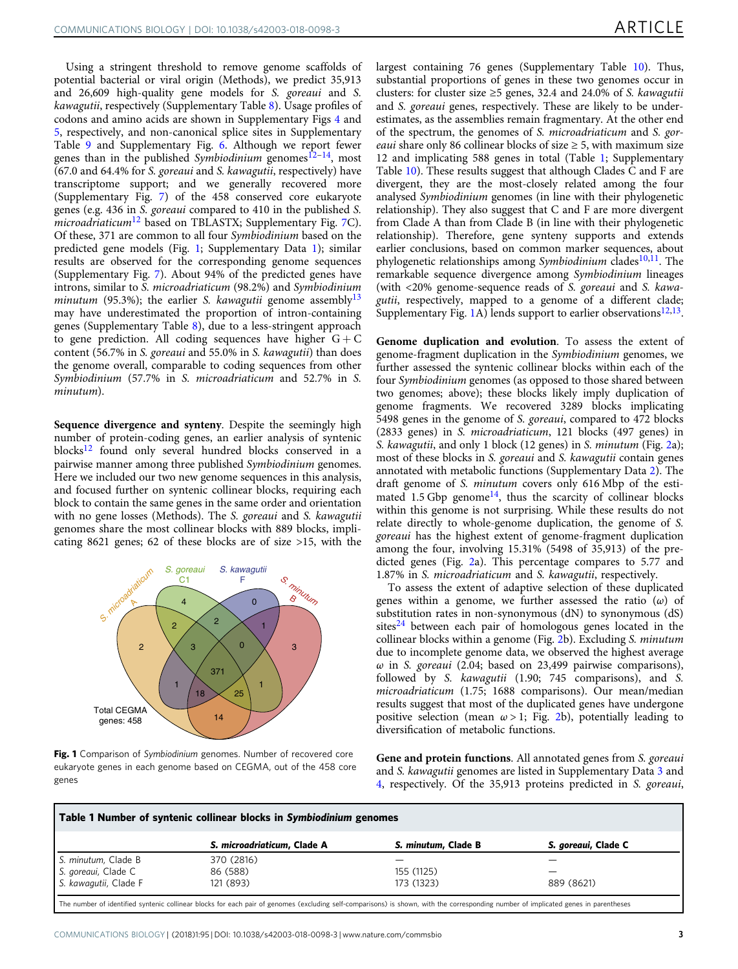Using a stringent threshold to remove genome scaffolds of potential bacterial or viral origin (Methods), we predict 35,913 and 26,609 high-quality gene models for S. goreaui and S. kawagutii, respectively (Supplementary Table 8). Usage profiles of codons and amino acids are shown in Supplementary Figs 4 and 5, respectively, and non-canonical splice sites in Supplementary Table 9 and Supplementary Fig. 6. Although we report fewer genes than in the published Symbiodinium genomes<sup>[12](#page-9-0)–[14](#page-9-0)</sup>, most (67.0 and 64.4% for S. goreaui and S. kawagutii, respectively) have transcriptome support; and we generally recovered more (Supplementary Fig. 7) of the 458 conserved core eukaryote genes (e.g. 436 in S. goreaui compared to 410 in the published S. microadriaticum<sup>[12](#page-9-0)</sup> based on TBLASTX; Supplementary Fig. 7C). Of these, 371 are common to all four Symbiodinium based on the predicted gene models (Fig. 1; Supplementary Data 1); similar results are observed for the corresponding genome sequences (Supplementary Fig. 7). About 94% of the predicted genes have introns, similar to S. microadriaticum (98.2%) and Symbiodinium *minutum* (95.3%); the earlier *S. kawagutii* genome assembly<sup>13</sup> may have underestimated the proportion of intron-containing genes (Supplementary Table 8), due to a less-stringent approach to gene prediction. All coding sequences have higher  $G + C$ content (56.7% in S. goreaui and 55.0% in S. kawagutii) than does the genome overall, comparable to coding sequences from other Symbiodinium (57.7% in S. microadriaticum and 52.7% in S. minutum).

Sequence divergence and synteny. Despite the seemingly high number of protein-coding genes, an earlier analysis of syntenic blocks<sup>12</sup> found only several hundred blocks conserved in a pairwise manner among three published Symbiodinium genomes. Here we included our two new genome sequences in this analysis, and focused further on syntenic collinear blocks, requiring each block to contain the same genes in the same order and orientation with no gene losses (Methods). The S. goreaui and S. kawagutii genomes share the most collinear blocks with 889 blocks, implicating 8621 genes; 62 of these blocks are of size >15, with the



Fig. 1 Comparison of Symbiodinium genomes. Number of recovered core eukaryote genes in each genome based on CEGMA, out of the 458 core genes

largest containing 76 genes (Supplementary Table 10). Thus, substantial proportions of genes in these two genomes occur in clusters: for cluster size  $\geq$ 5 genes, 32.4 and 24.0% of S. kawagutii and S. goreaui genes, respectively. These are likely to be underestimates, as the assemblies remain fragmentary. At the other end of the spectrum, the genomes of S. microadriaticum and S. gor*eaui* share only 86 collinear blocks of size  $\geq$  5, with maximum size 12 and implicating 588 genes in total (Table 1; Supplementary Table 10). These results suggest that although Clades C and F are divergent, they are the most-closely related among the four analysed Symbiodinium genomes (in line with their phylogenetic relationship). They also suggest that C and F are more divergent from Clade A than from Clade B (in line with their phylogenetic relationship). Therefore, gene synteny supports and extends earlier conclusions, based on common marker sequences, about phylogenetic relationships among Symbiodinium clades<sup>10,11</sup>. The remarkable sequence divergence among Symbiodinium lineages (with <20% genome-sequence reads of S. goreaui and S. kawagutii, respectively, mapped to a genome of a different clade; Supplementary Fig. 1A) lends support to earlier observations<sup>12,13</sup>.

Genome duplication and evolution. To assess the extent of genome-fragment duplication in the Symbiodinium genomes, we further assessed the syntenic collinear blocks within each of the four Symbiodinium genomes (as opposed to those shared between two genomes; above); these blocks likely imply duplication of genome fragments. We recovered 3289 blocks implicating 5498 genes in the genome of S. goreaui, compared to 472 blocks (2833 genes) in S. microadriaticum, 121 blocks (497 genes) in S. kawagutii, and only 1 block (12 genes) in S. minutum (Fig. [2](#page-3-0)a); most of these blocks in S. goreaui and S. kawagutii contain genes annotated with metabolic functions (Supplementary Data 2). The draft genome of S. minutum covers only 616 Mbp of the esti-mated 1.5 Gbp genome<sup>[14](#page-9-0)</sup>, thus the scarcity of collinear blocks within this genome is not surprising. While these results do not relate directly to whole-genome duplication, the genome of S. goreaui has the highest extent of genome-fragment duplication among the four, involving 15.31% (5498 of 35,913) of the predicted genes (Fig. [2](#page-3-0)a). This percentage compares to 5.77 and 1.87% in S. microadriaticum and S. kawagutii, respectively.

To assess the extent of adaptive selection of these duplicated genes within a genome, we further assessed the ratio  $(\omega)$  of substitution rates in non-synonymous (dN) to synonymous (dS) sites $^{24}$  $^{24}$  $^{24}$  between each pair of homologous genes located in the collinear blocks within a genome (Fig. [2b](#page-3-0)). Excluding S. minutum due to incomplete genome data, we observed the highest average  $\omega$  in S. goreaui (2.04; based on 23,499 pairwise comparisons), followed by S. kawagutii (1.90; 745 comparisons), and S. microadriaticum (1.75; 1688 comparisons). Our mean/median results suggest that most of the duplicated genes have undergone positive selection (mean  $\omega > 1$ ; Fig. [2b](#page-3-0)), potentially leading to diversification of metabolic functions.

Gene and protein functions. All annotated genes from S. goreaui and S. kawagutii genomes are listed in Supplementary Data 3 and 4, respectively. Of the 35,913 proteins predicted in S. goreaui,

| Table 1 Number of syntenic collinear blocks in Symbiodinium genomes |                             |                     |                     |
|---------------------------------------------------------------------|-----------------------------|---------------------|---------------------|
|                                                                     | S. microadriaticum. Clade A | S. minutum. Clade B | S. goreaui, Clade C |
| S. minutum, Clade B                                                 | 370 (2816)                  |                     |                     |
| S. goreaui, Clade C                                                 | 86 (588)                    | 155 (1125)          |                     |
| S. kawagutii, Clade F                                               | 121 (893)                   | 173 (1323)          | 889 (8621)          |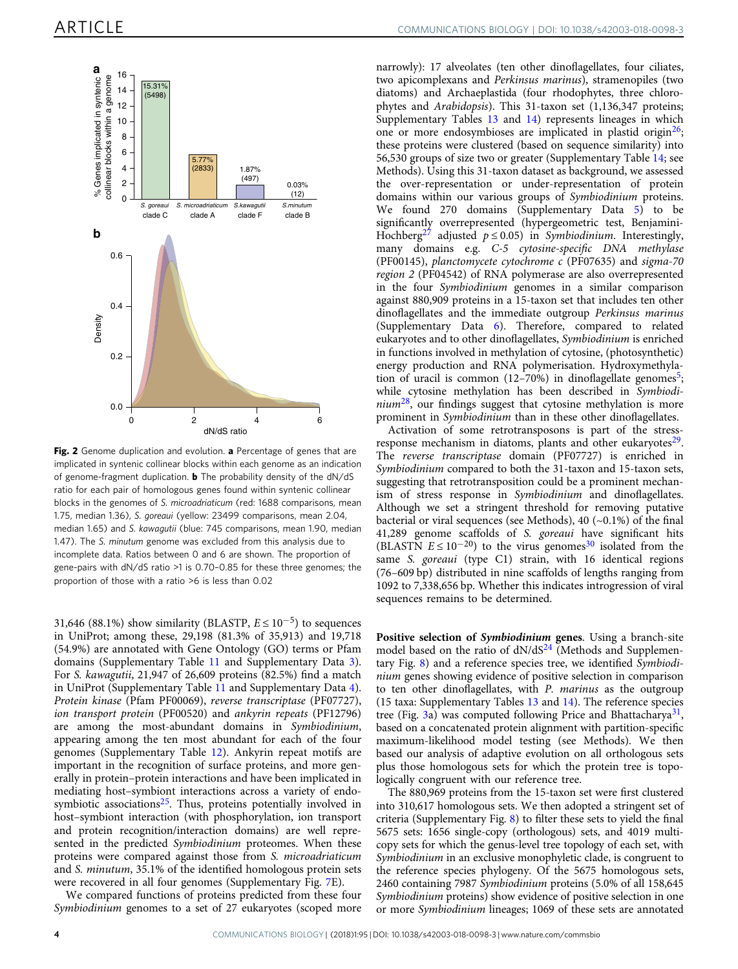<span id="page-3-0"></span>

Fig. 2 Genome duplication and evolution. a Percentage of genes that are implicated in syntenic collinear blocks within each genome as an indication of genome-fragment duplication. **b** The probability density of the dN/dS ratio for each pair of homologous genes found within syntenic collinear blocks in the genomes of S. microadriaticum (red: 1688 comparisons, mean 1.75, median 1.36), S. goreaui (yellow: 23499 comparisons, mean 2.04, median 1.65) and S. kawagutii (blue: 745 comparisons, mean 1.90, median 1.47). The S. minutum genome was excluded from this analysis due to incomplete data. Ratios between 0 and 6 are shown. The proportion of gene-pairs with dN/dS ratio >1 is 0.70–0.85 for these three genomes; the proportion of those with a ratio >6 is less than 0.02

31,646 (88.1%) show similarity (BLASTP,  $E \le 10^{-5}$ ) to sequences in UniProt; among these, 29,198 (81.3% of 35,913) and 19,718 (54.9%) are annotated with Gene Ontology (GO) terms or Pfam domains (Supplementary Table 11 and Supplementary Data 3). For S. kawagutii, 21,947 of 26,609 proteins (82.5%) find a match in UniProt (Supplementary Table 11 and Supplementary Data 4). Protein kinase (Pfam PF00069), reverse transcriptase (PF07727), ion transport protein (PF00520) and ankyrin repeats (PF12796) are among the most-abundant domains in Symbiodinium, appearing among the ten most abundant for each of the four genomes (Supplementary Table 12). Ankyrin repeat motifs are important in the recognition of surface proteins, and more generally in protein–protein interactions and have been implicated in mediating host–symbiont interactions across a variety of endosymbiotic associations<sup>25</sup>. Thus, proteins potentially involved in host–symbiont interaction (with phosphorylation, ion transport and protein recognition/interaction domains) are well represented in the predicted Symbiodinium proteomes. When these proteins were compared against those from S. microadriaticum and S. minutum, 35.1% of the identified homologous protein sets were recovered in all four genomes (Supplementary Fig. 7E).

We compared functions of proteins predicted from these four Symbiodinium genomes to a set of 27 eukaryotes (scoped more narrowly): 17 alveolates (ten other dinoflagellates, four ciliates, two apicomplexans and Perkinsus marinus), stramenopiles (two diatoms) and Archaeplastida (four rhodophytes, three chlorophytes and Arabidopsis). This 31-taxon set (1,136,347 proteins; Supplementary Tables 13 and 14) represents lineages in which one or more endosymbioses are implicated in plastid origin<sup>26</sup>; these proteins were clustered (based on sequence similarity) into 56,530 groups of size two or greater (Supplementary Table 14; see Methods). Using this 31-taxon dataset as background, we assessed the over-representation or under-representation of protein domains within our various groups of Symbiodinium proteins. We found 270 domains (Supplementary Data 5) to be significantly overrepresented (hypergeometric test, Benjamini-Hochberg<sup>[27](#page-9-0)</sup> adjusted  $p \le 0.05$ ) in Symbiodinium. Interestingly, many domains e.g. C-5 cytosine-specific DNA methylase (PF00145), planctomycete cytochrome c (PF07635) and sigma-70 region 2 (PF04542) of RNA polymerase are also overrepresented in the four Symbiodinium genomes in a similar comparison against 880,909 proteins in a 15-taxon set that includes ten other dinoflagellates and the immediate outgroup Perkinsus marinus (Supplementary Data 6). Therefore, compared to related eukaryotes and to other dinoflagellates, Symbiodinium is enriched in functions involved in methylation of cytosine, (photosynthetic) energy production and RNA polymerisation. Hydroxymethylation of uracil is common  $(12-70%)$  in dinoflagellate genomes<sup>5</sup>; while cytosine methylation has been described in Symbiodi $nium<sup>28</sup>$ , our findings suggest that cytosine methylation is more prominent in Symbiodinium than in these other dinoflagellates.

Activation of some retrotransposons is part of the stressresponse mechanism in diatoms, plants and other eukaryotes $2^9$ . The reverse transcriptase domain (PF07727) is enriched in Symbiodinium compared to both the 31-taxon and 15-taxon sets, suggesting that retrotransposition could be a prominent mechanism of stress response in Symbiodinium and dinoflagellates. Although we set a stringent threshold for removing putative bacterial or viral sequences (see Methods), 40  $(-0.1\%)$  of the final 41,289 genome scaffolds of S. goreaui have significant hits (BLASTN  $E \le 10^{-20}$ ) to the virus genomes<sup>[30](#page-9-0)</sup> isolated from the same S. goreaui (type C1) strain, with 16 identical regions (76–609 bp) distributed in nine scaffolds of lengths ranging from 1092 to 7,338,656 bp. Whether this indicates introgression of viral sequences remains to be determined.

Positive selection of Symbiodinium genes. Using a branch-site model based on the ratio of  $dN/dS<sup>24</sup>$  $dN/dS<sup>24</sup>$  $dN/dS<sup>24</sup>$  (Methods and Supplementary Fig. 8) and a reference species tree, we identified Symbiodinium genes showing evidence of positive selection in comparison to ten other dinoflagellates, with P. marinus as the outgroup (15 taxa: Supplementary Tables 13 and 14). The reference species tree (Fig. [3a](#page-4-0)) was computed following Price and Bhattacharya<sup>31</sup>, based on a concatenated protein alignment with partition-specific maximum-likelihood model testing (see Methods). We then based our analysis of adaptive evolution on all orthologous sets plus those homologous sets for which the protein tree is topologically congruent with our reference tree.

The 880,969 proteins from the 15-taxon set were first clustered into 310,617 homologous sets. We then adopted a stringent set of criteria (Supplementary Fig. 8) to filter these sets to yield the final 5675 sets: 1656 single-copy (orthologous) sets, and 4019 multicopy sets for which the genus-level tree topology of each set, with Symbiodinium in an exclusive monophyletic clade, is congruent to the reference species phylogeny. Of the 5675 homologous sets, 2460 containing 7987 Symbiodinium proteins (5.0% of all 158,645 Symbiodinium proteins) show evidence of positive selection in one or more Symbiodinium lineages; 1069 of these sets are annotated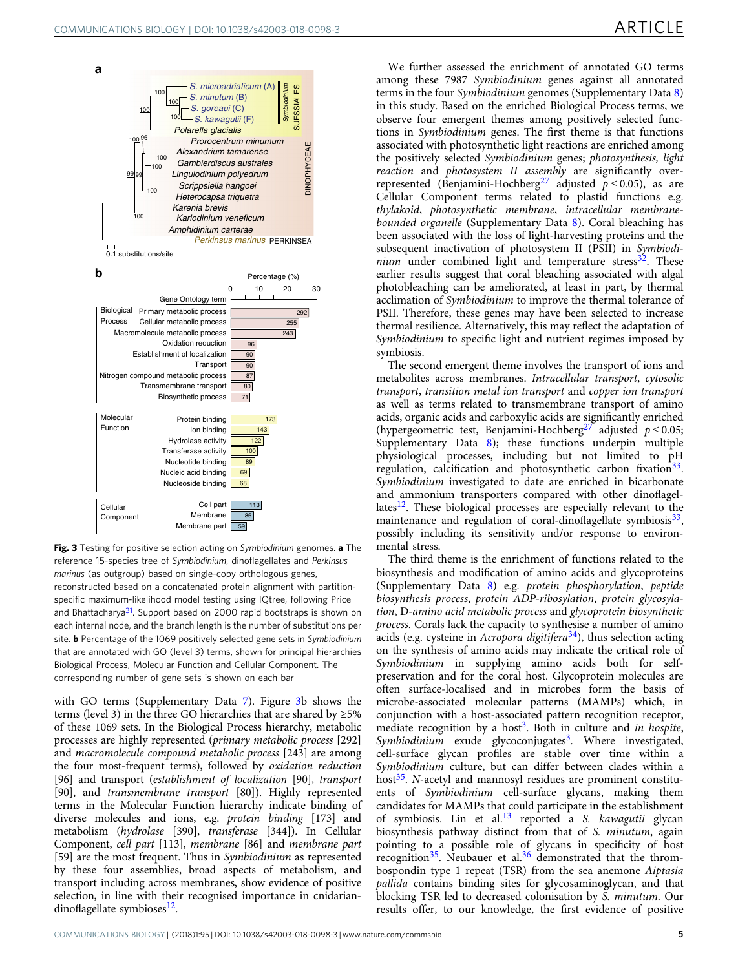<span id="page-4-0"></span>



Fig. 3 Testing for positive selection acting on Symbiodinium genomes. a The reference 15-species tree of Symbiodinium, dinoflagellates and Perkinsus marinus (as outgroup) based on single-copy orthologous genes, reconstructed based on a concatenated protein alignment with partitionspecific maximum-likelihood model testing using IQtree, following Price and Bhattacharya<sup>31</sup>. Support based on 2000 rapid bootstraps is shown on each internal node, and the branch length is the number of substitutions per site. **b** Percentage of the 1069 positively selected gene sets in Symbiodinium that are annotated with GO (level 3) terms, shown for principal hierarchies Biological Process, Molecular Function and Cellular Component. The corresponding number of gene sets is shown on each bar

with GO terms (Supplementary Data 7). Figure 3b shows the terms (level 3) in the three GO hierarchies that are shared by  $\geq 5\%$ of these 1069 sets. In the Biological Process hierarchy, metabolic processes are highly represented (primary metabolic process [292] and macromolecule compound metabolic process [243] are among the four most-frequent terms), followed by oxidation reduction [96] and transport (establishment of localization [90], transport [90], and transmembrane transport [80]). Highly represented terms in the Molecular Function hierarchy indicate binding of diverse molecules and ions, e.g. protein binding [173] and metabolism (hydrolase [390], transferase [344]). In Cellular Component, cell part [113], membrane [86] and membrane part [59] are the most frequent. Thus in Symbiodinium as represented by these four assemblies, broad aspects of metabolism, and transport including across membranes, show evidence of positive selection, in line with their recognised importance in cnidariandinoflagellate symbioses<sup>12</sup>.

We further assessed the enrichment of annotated GO terms among these 7987 Symbiodinium genes against all annotated terms in the four Symbiodinium genomes (Supplementary Data 8) in this study. Based on the enriched Biological Process terms, we observe four emergent themes among positively selected functions in Symbiodinium genes. The first theme is that functions associated with photosynthetic light reactions are enriched among the positively selected Symbiodinium genes; photosynthesis, light reaction and photosystem II assembly are significantly over-represented (Benjamini-Hochberg<sup>[27](#page-9-0)</sup> adjusted  $p \le 0.05$ ), as are Cellular Component terms related to plastid functions e.g. thylakoid, photosynthetic membrane, intracellular membranebounded organelle (Supplementary Data 8). Coral bleaching has been associated with the loss of light-harvesting proteins and the subsequent inactivation of photosystem II (PSII) in Symbiodi $nium$  under combined light and temperature stress $^{32}$ . These earlier results suggest that coral bleaching associated with algal photobleaching can be ameliorated, at least in part, by thermal acclimation of Symbiodinium to improve the thermal tolerance of PSII. Therefore, these genes may have been selected to increase thermal resilience. Alternatively, this may reflect the adaptation of Symbiodinium to specific light and nutrient regimes imposed by symbiosis.

The second emergent theme involves the transport of ions and metabolites across membranes. Intracellular transport, cytosolic transport, transition metal ion transport and copper ion transport as well as terms related to transmembrane transport of amino acids, organic acids and carboxylic acids are significantly enriched (hypergeometric test, Benjamini-Hochberg<sup>[27](#page-9-0)</sup> adjusted  $p \le 0.05$ ; Supplementary Data 8); these functions underpin multiple physiological processes, including but not limited to pH regulation, calcification and photosynthetic carbon fixation<sup>33</sup>. Symbiodinium investigated to date are enriched in bicarbonate and ammonium transporters compared with other dinoflagellates<sup>12</sup>. These biological processes are especially relevant to the maintenance and regulation of coral-dinoflagellate symbiosis $33$ , possibly including its sensitivity and/or response to environmental stress.

The third theme is the enrichment of functions related to the biosynthesis and modification of amino acids and glycoproteins (Supplementary Data 8) e.g. protein phosphorylation, peptide biosynthesis process, protein ADP-ribosylation, protein glycosylation, D-amino acid metabolic process and glycoprotein biosynthetic process. Corals lack the capacity to synthesise a number of amino acids (e.g. cysteine in Acropora digitifera<sup>34</sup>), thus selection acting on the synthesis of amino acids may indicate the critical role of Symbiodinium in supplying amino acids both for selfpreservation and for the coral host. Glycoprotein molecules are often surface-localised and in microbes form the basis of microbe-associated molecular patterns (MAMPs) which, in conjunction with a host-associated pattern recognition receptor, mediate recognition by a host<sup>3</sup>. Both in culture and in hospite, Symbiodinium exude glycoconjugates<sup>[3](#page-9-0)</sup>. Where investigated, cell-surface glycan profiles are stable over time within a Symbiodinium culture, but can differ between clades within a host<sup>35</sup>. N-acetyl and mannosyl residues are prominent constituents of Symbiodinium cell-surface glycans, making them candidates for MAMPs that could participate in the establishment of symbiosis. Lin et al.<sup>[13](#page-9-0)</sup> reported a S. kawagutii glycan biosynthesis pathway distinct from that of S. minutum, again pointing to a possible role of glycans in specificity of host recognition<sup>[35](#page-9-0)</sup>. Neubauer et al.<sup>36</sup> demonstrated that the thrombospondin type 1 repeat (TSR) from the sea anemone Aiptasia pallida contains binding sites for glycosaminoglycan, and that blocking TSR led to decreased colonisation by S. minutum. Our results offer, to our knowledge, the first evidence of positive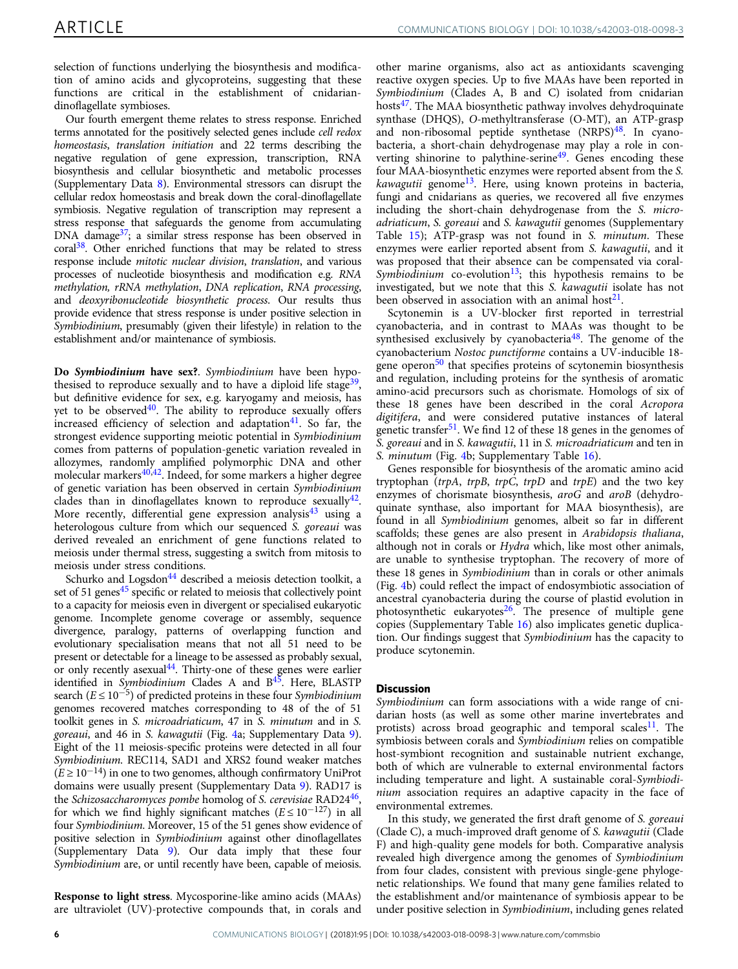selection of functions underlying the biosynthesis and modification of amino acids and glycoproteins, suggesting that these functions are critical in the establishment of cnidariandinoflagellate symbioses.

Our fourth emergent theme relates to stress response. Enriched terms annotated for the positively selected genes include cell redox homeostasis, translation initiation and 22 terms describing the negative regulation of gene expression, transcription, RNA biosynthesis and cellular biosynthetic and metabolic processes (Supplementary Data 8). Environmental stressors can disrupt the cellular redox homeostasis and break down the coral-dinoflagellate symbiosis. Negative regulation of transcription may represent a stress response that safeguards the genome from accumulating DNA damage<sup>37</sup>; a similar stress response has been observed in coral<sup>38</sup>. Other enriched functions that may be related to stress response include mitotic nuclear division, translation, and various processes of nucleotide biosynthesis and modification e.g. RNA methylation, rRNA methylation, DNA replication, RNA processing, and deoxyribonucleotide biosynthetic process. Our results thus provide evidence that stress response is under positive selection in Symbiodinium, presumably (given their lifestyle) in relation to the establishment and/or maintenance of symbiosis.

Do Symbiodinium have sex?. Symbiodinium have been hypothesised to reproduce sexually and to have a diploid life stage<sup>39</sup>, but definitive evidence for sex, e.g. karyogamy and meiosis, has yet to be observed $40$ . The ability to reproduce sexually offers increased efficiency of selection and adaptation $41$ . So far, the strongest evidence supporting meiotic potential in Symbiodinium comes from patterns of population-genetic variation revealed in allozymes, randomly amplified polymorphic DNA and other molecular markers[40,42](#page-9-0). Indeed, for some markers a higher degree of genetic variation has been observed in certain Symbiodinium clades than in dinoflagellates known to reproduce sexually  $42$ . More recently, differential gene expression analysis<sup>[43](#page-9-0)</sup> using a heterologous culture from which our sequenced S. goreaui was derived revealed an enrichment of gene functions related to meiosis under thermal stress, suggesting a switch from mitosis to meiosis under stress conditions.

Schurko and Logsdon<sup>44</sup> described a meiosis detection toolkit, a set of 51 genes<sup>[45](#page-9-0)</sup> specific or related to meiosis that collectively point to a capacity for meiosis even in divergent or specialised eukaryotic genome. Incomplete genome coverage or assembly, sequence divergence, paralogy, patterns of overlapping function and evolutionary specialisation means that not all 51 need to be present or detectable for a lineage to be assessed as probably sexual, or only recently asexual<sup>44</sup>. Thirty-one of these genes were earlier identified in Symbiodinium Clades A and  $B^{45}$ . Here, BLASTP search ( $E \le 10^{-5}$ ) of predicted proteins in these four *Symbiodinium* genomes recovered matches corresponding to 48 of the of 51 toolkit genes in S. microadriaticum, 47 in S. minutum and in S. goreaui, and 46 in S. kawagutii (Fig. [4a](#page-6-0); Supplementary Data 9). Eight of the 11 meiosis-specific proteins were detected in all four Symbiodinium. REC114, SAD1 and XRS2 found weaker matches  $(E \ge 10^{-14})$  in one to two genomes, although confirmatory UniProt domains were usually present (Supplementary Data 9). RAD17 is the Schizosaccharomyces pombe homolog of S. cerevisiae RAD24<sup>46</sup>, for which we find highly significant matches ( $E \le 10^{-127}$ ) in all four Symbiodinium. Moreover, 15 of the 51 genes show evidence of positive selection in Symbiodinium against other dinoflagellates (Supplementary Data 9). Our data imply that these four Symbiodinium are, or until recently have been, capable of meiosis.

Response to light stress. Mycosporine-like amino acids (MAAs) are ultraviolet (UV)-protective compounds that, in corals and

other marine organisms, also act as antioxidants scavenging reactive oxygen species. Up to five MAAs have been reported in Symbiodinium (Clades A, B and C) isolated from cnidarian hosts<sup>[47](#page-9-0)</sup>. The MAA biosynthetic pathway involves dehydroquinate synthase (DHQS), O-methyltransferase (O-MT), an ATP-grasp and non-ribosomal peptide synthetase  $(NRPS)<sup>48</sup>$ . In cyanobacteria, a short-chain dehydrogenase may play a role in con-verting shinorine to palythine-serine<sup>[49](#page-9-0)</sup>. Genes encoding these four MAA-biosynthetic enzymes were reported absent from the S. *kawagutii* genome<sup>13</sup>. Here, using known proteins in bacteria, fungi and cnidarians as queries, we recovered all five enzymes including the short-chain dehydrogenase from the S. microadriaticum, S. goreaui and S. kawagutii genomes (Supplementary Table 15); ATP-grasp was not found in S. minutum. These enzymes were earlier reported absent from S. kawagutii, and it was proposed that their absence can be compensated via coral-Symbiodinium co-evolution<sup>[13](#page-9-0)</sup>; this hypothesis remains to be investigated, but we note that this S. kawagutii isolate has not been observed in association with an animal host<sup>[21](#page-9-0)</sup>.

Scytonemin is a UV-blocker first reported in terrestrial cyanobacteria, and in contrast to MAAs was thought to be synthesised exclusively by cyanobacteria<sup>[48](#page-9-0)</sup>. The genome of the cyanobacterium Nostoc punctiforme contains a UV-inducible 18 gene operon $50$  that specifies proteins of scytonemin biosynthesis and regulation, including proteins for the synthesis of aromatic amino-acid precursors such as chorismate. Homologs of six of these 18 genes have been described in the coral Acropora digitifera, and were considered putative instances of lateral genetic transfer<sup>[51](#page-9-0)</sup>. We find 12 of these 18 genes in the genomes of S. goreaui and in S. kawagutii, 11 in S. microadriaticum and ten in S. minutum (Fig. [4](#page-6-0)b; Supplementary Table 16).

Genes responsible for biosynthesis of the aromatic amino acid tryptophan ( $trpA$ ,  $trpB$ ,  $trpC$ ,  $trpD$  and  $trpE$ ) and the two key enzymes of chorismate biosynthesis, aroG and aroB (dehydroquinate synthase, also important for MAA biosynthesis), are found in all Symbiodinium genomes, albeit so far in different scaffolds; these genes are also present in Arabidopsis thaliana, although not in corals or Hydra which, like most other animals, are unable to synthesise tryptophan. The recovery of more of these 18 genes in Symbiodinium than in corals or other animals (Fig. [4b](#page-6-0)) could reflect the impact of endosymbiotic association of ancestral cyanobacteria during the course of plastid evolution in photosynthetic eukaryotes $26$ . The presence of multiple gene copies (Supplementary Table 16) also implicates genetic duplication. Our findings suggest that Symbiodinium has the capacity to produce scytonemin.

# **Discussion**

Symbiodinium can form associations with a wide range of cnidarian hosts (as well as some other marine invertebrates and protists) across broad geographic and temporal scales<sup>11</sup>. The symbiosis between corals and Symbiodinium relies on compatible host-symbiont recognition and sustainable nutrient exchange, both of which are vulnerable to external environmental factors including temperature and light. A sustainable coral-Symbiodinium association requires an adaptive capacity in the face of environmental extremes.

In this study, we generated the first draft genome of S. goreaui (Clade C), a much-improved draft genome of S. kawagutii (Clade F) and high-quality gene models for both. Comparative analysis revealed high divergence among the genomes of Symbiodinium from four clades, consistent with previous single-gene phylogenetic relationships. We found that many gene families related to the establishment and/or maintenance of symbiosis appear to be under positive selection in Symbiodinium, including genes related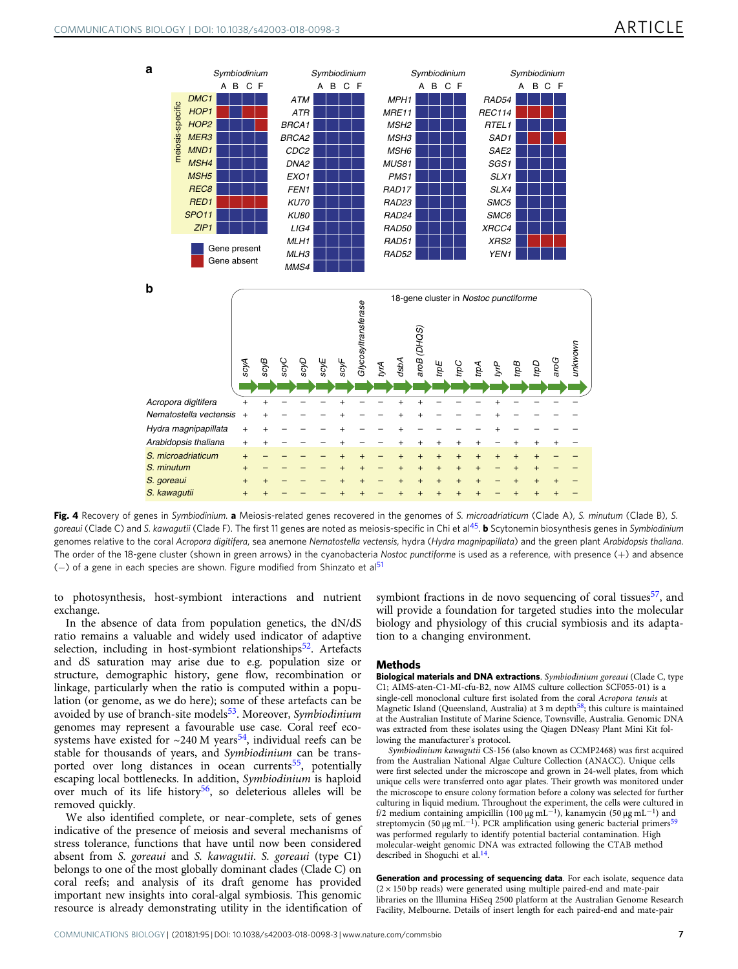<span id="page-6-0"></span>

Fig. 4 Recovery of genes in Symbiodinium. a Meiosis-related genes recovered in the genomes of S. microadriaticum (Clade A), S. minutum (Clade B), S. goreaui (Clade C) and S. kawagutii (Clade F). The first 11 genes are noted as meiosis-specific in Chi et al<sup>45</sup>. b Scytonemin biosynthesis genes in Symbiodinium genomes relative to the coral Acropora digitifera, sea anemone Nematostella vectensis, hydra (Hydra magnipapillata) and the green plant Arabidopsis thaliana. The order of the 18-gene cluster (shown in green arrows) in the cyanobacteria Nostoc punctiforme is used as a reference, with presence  $(+)$  and absence (-) of a gene in each species are shown. Figure modified from Shinzato et al<sup>[51](#page-9-0)</sup>

to photosynthesis, host-symbiont interactions and nutrient exchange.

In the absence of data from population genetics, the dN/dS ratio remains a valuable and widely used indicator of adaptive selection, including in host-symbiont relationships $52$ . Artefacts and dS saturation may arise due to e.g. population size or structure, demographic history, gene flow, recombination or linkage, particularly when the ratio is computed within a population (or genome, as we do here); some of these artefacts can be avoided by use of branch-site models<sup>53</sup>. Moreover, Symbiodinium genomes may represent a favourable use case. Coral reef ecosystems have existed for  $\sim$ 240 M years<sup>[54](#page-9-0)</sup>, individual reefs can be stable for thousands of years, and Symbiodinium can be transported over long distances in ocean currents<sup>55</sup>, potentially escaping local bottlenecks. In addition, Symbiodinium is haploid over much of its life history<sup>[56](#page-10-0)</sup>, so deleterious alleles will be removed quickly.

We also identified complete, or near-complete, sets of genes indicative of the presence of meiosis and several mechanisms of stress tolerance, functions that have until now been considered absent from S. goreaui and S. kawagutii. S. goreaui (type C1) belongs to one of the most globally dominant clades (Clade C) on coral reefs; and analysis of its draft genome has provided important new insights into coral-algal symbiosis. This genomic resource is already demonstrating utility in the identification of symbiont fractions in de novo sequencing of coral tissues<sup>[57](#page-10-0)</sup>, and will provide a foundation for targeted studies into the molecular biology and physiology of this crucial symbiosis and its adaptation to a changing environment.

#### Methods

Biological materials and DNA extractions. Symbiodinium goreaui (Clade C, type C1; AIMS-aten-C1-MI-cfu-B2, now AIMS culture collection SCF055-01) is a single-cell monoclonal culture first isolated from the coral Acropora tenuis at Magnetic Island (Queensland, Australia) at 3 m depth[58](#page-10-0); this culture is maintained at the Australian Institute of Marine Science, Townsville, Australia. Genomic DNA was extracted from these isolates using the Qiagen DNeasy Plant Mini Kit following the manufacturer's protocol.

Symbiodinium kawagutii CS-156 (also known as CCMP2468) was first acquired from the Australian National Algae Culture Collection (ANACC). Unique cells were first selected under the microscope and grown in 24-well plates, from which unique cells were transferred onto agar plates. Their growth was monitored under the microscope to ensure colony formation before a colony was selected for further culturing in liquid medium. Throughout the experiment, the cells were cultured in f/2 medium containing ampicillin (100 μg mL<sup>−1</sup>), kanamycin (50 μg mL<sup>−1</sup>) and streptomycin (50 μg mL<sup>-1</sup>). PCR amplification using generic bacterial primers<sup>[59](#page-10-0)</sup> was performed regularly to identify potential bacterial contamination. High molecular-weight genomic DNA was extracted following the CTAB method described in Shoguchi et al.<sup>[14](#page-9-0)</sup>.

Generation and processing of sequencing data. For each isolate, sequence data  $(2 \times 150$  bp reads) were generated using multiple paired-end and mate-pair libraries on the Illumina HiSeq 2500 platform at the Australian Genome Research Facility, Melbourne. Details of insert length for each paired-end and mate-pair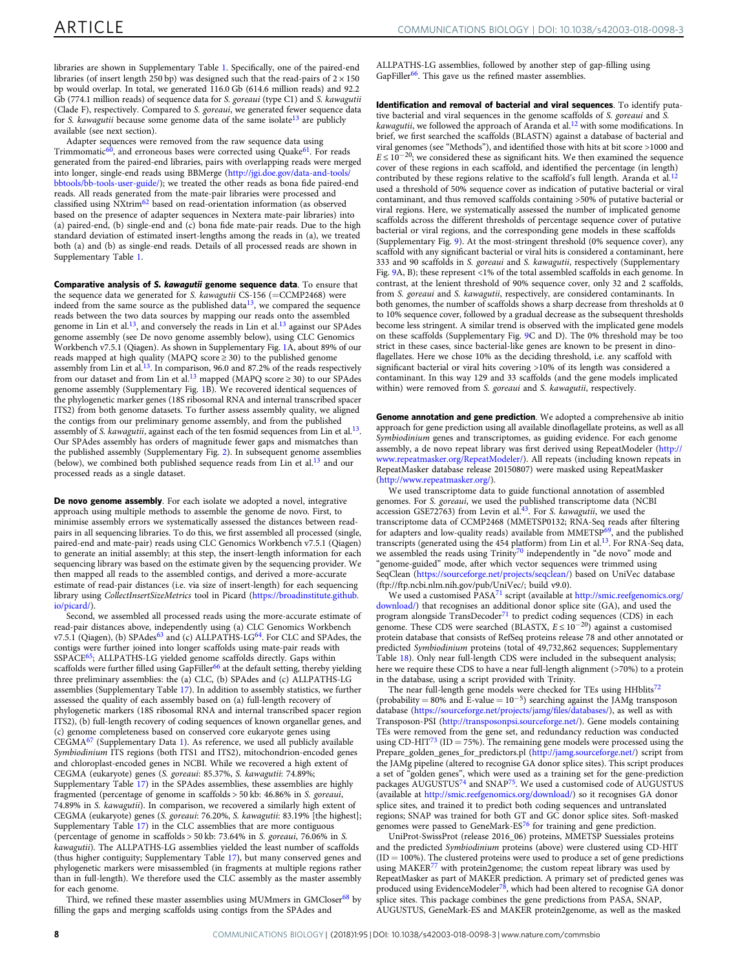libraries are shown in Supplementary Table 1. Specifically, one of the paired-end libraries (of insert length 250 bp) was designed such that the read-pairs of  $2 \times 150$ bp would overlap. In total, we generated 116.0 Gb (614.6 million reads) and 92.2 Gb (774.1 million reads) of sequence data for S. goreaui (type C1) and S. kawagutii (Clade F), respectively. Compared to S. goreaui, we generated fewer sequence data for S. kawagutii because some genome data of the same isolate<sup>[13](#page-9-0)</sup> are publicly available (see next section).

Adapter sequences were removed from the raw sequence data using Trimmomatic<sup>[60](#page-10-0)</sup>, and erroneous bases were corrected using Quake<sup>61</sup>. For reads generated from the paired-end libraries, pairs with overlapping reads were merged into longer, single-end reads using BBMerge [\(http://jgi.doe.gov/data-and-tools/](http://jgi.doe.gov/data-and-tools/bbtools/bb-tools-user-guide/) [bbtools/bb-tools-user-guide/\)](http://jgi.doe.gov/data-and-tools/bbtools/bb-tools-user-guide/); we treated the other reads as bona fide paired-end reads. All reads generated from the mate-pair libraries were processed and classified using NXtrim[62](#page-10-0) based on read-orientation information (as observed based on the presence of adapter sequences in Nextera mate-pair libraries) into (a) paired-end, (b) single-end and (c) bona fide mate-pair reads. Due to the high standard deviation of estimated insert-lengths among the reads in (a), we treated both (a) and (b) as single-end reads. Details of all processed reads are shown in Supplementary Table 1.

Comparative analysis of S. kawagutii genome sequence data. To ensure that the sequence data we generated for S. kawagutii CS-156 (=CCMP2468) were indeed from the same source as the published data $13$ , we compared the sequence reads between the two data sources by mapping our reads onto the assembled genome in Lin et al.<sup>13</sup>, and conversely the reads in Lin et al.<sup>13</sup> against our SPAdes genome assembly (see De novo genome assembly below), using CLC Genomics Workbench v7.5.1 (Qiagen). As shown in Supplementary Fig. 1A, about 89% of our reads mapped at high quality (MAPQ score ≥ 30) to the published genome assembly from Lin et al.<sup>[13](#page-9-0)</sup>. In comparison, 96.0 and 87.2% of the reads respectively from our dataset and from Lin et al.<sup>[13](#page-9-0)</sup> mapped (MAPQ score  $\geq$  30) to our SPAdes genome assembly (Supplementary Fig. 1B). We recovered identical sequences of the phylogenetic marker genes (18S ribosomal RNA and internal transcribed spacer ITS2) from both genome datasets. To further assess assembly quality, we aligned the contigs from our preliminary genome assembly, and from the published assembly of S. kawagutii, against each of the ten fosmid sequences from Lin et al.<sup>[13](#page-9-0)</sup>. Our SPAdes assembly has orders of magnitude fewer gaps and mismatches than the published assembly (Supplementary Fig. 2). In subsequent genome assemblies (below), we combined both published sequence reads from Lin et al.[13](#page-9-0) and our processed reads as a single dataset.

De novo genome assembly. For each isolate we adopted a novel, integrative approach using multiple methods to assemble the genome de novo. First, to minimise assembly errors we systematically assessed the distances between readpairs in all sequencing libraries. To do this, we first assembled all processed (single, paired-end and mate-pair) reads using CLC Genomics Workbench v7.5.1 (Qiagen) to generate an initial assembly; at this step, the insert-length information for each sequencing library was based on the estimate given by the sequencing provider. We then mapped all reads to the assembled contigs, and derived a more-accurate estimate of read-pair distances (i.e. via size of insert-length) for each sequencing library using CollectInsertSizeMetrics tool in Picard ([https://broadinstitute.github.](https://broadinstitute.github.io/picard/) [io/picard/\)](https://broadinstitute.github.io/picard/).

Second, we assembled all processed reads using the more-accurate estimate of read-pair distances above, independently using (a) CLC Genomics Workbench v7.5.1 (Qiagen), (b) SPAdes<sup>[63](#page-10-0)</sup> and (c) ALLPATHS-LG<sup>[64](#page-10-0)</sup>. For CLC and SPAdes, the contigs were further joined into longer scaffolds using mate-pair reads with SSPACE<sup>65</sup>; ALLPATHS-LG yielded genome scaffolds directly. Gaps within scaffolds were further filled using GapFiller<sup>[66](#page-10-0)</sup> at the default setting, thereby yielding three preliminary assemblies: the (a) CLC, (b) SPAdes and (c) ALLPATHS-LG assemblies (Supplementary Table 17). In addition to assembly statistics, we further assessed the quality of each assembly based on (a) full-length recovery of phylogenetic markers (18S ribosomal RNA and internal transcribed spacer region ITS2), (b) full-length recovery of coding sequences of known organellar genes, and (c) genome completeness based on conserved core eukaryote genes using CEGMA[67](#page-10-0) (Supplementary Data 1). As reference, we used all publicly available Symbiodinium ITS regions (both ITS1 and ITS2), mitochondrion-encoded genes and chloroplast-encoded genes in NCBI. While we recovered a high extent of CEGMA (eukaryote) genes (S. goreaui: 85.37%, S. kawagutii: 74.89%; Supplementary Table 17) in the SPAdes assemblies, these assemblies are highly fragmented (percentage of genome in scaffolds > 50 kb: 46.86% in S. goreaui, 74.89% in S. kawagutii). In comparison, we recovered a similarly high extent of CEGMA (eukaryote) genes (S. goreaui: 76.20%, S. kawagutii: 83.19% [the highest]; Supplementary Table 17) in the CLC assemblies that are more contiguous (percentage of genome in scaffolds > 50 kb: 73.64% in S. goreaui, 76.06% in S. kawagutii). The ALLPATHS-LG assemblies yielded the least number of scaffolds (thus higher contiguity; Supplementary Table 17), but many conserved genes and phylogenetic markers were misassembled (in fragments at multiple regions rather than in full-length). We therefore used the CLC assembly as the master assembly for each genome.

Third, we refined these master assemblies using MUMmers in GMCloser $^{68}$  $^{68}$  $^{68}$  by filling the gaps and merging scaffolds using contigs from the SPAdes and

ALLPATHS-LG assemblies, followed by another step of gap-filling using GapFiller<sup>[66](#page-10-0)</sup>. This gave us the refined master assemblies.

Identification and removal of bacterial and viral sequences. To identify putative bacterial and viral sequences in the genome scaffolds of S. goreaui and S. kawagutii, we followed the approach of Aranda et al.<sup>[12](#page-9-0)</sup> with some modifications. In brief, we first searched the scaffolds (BLASTN) against a database of bacterial and viral genomes (see "Methods"), and identified those with hits at bit score >1000 and  $E \le 10^{-20}$ ; we considered these as significant hits. We then examined the sequence cover of these regions in each scaffold, and identified the percentage (in length) contributed by these regions relative to the scaffold's full length. Aranda et al.<sup>12</sup> used a threshold of 50% sequence cover as indication of putative bacterial or viral contaminant, and thus removed scaffolds containing >50% of putative bacterial or viral regions. Here, we systematically assessed the number of implicated genome scaffolds across the different thresholds of percentage sequence cover of putative bacterial or viral regions, and the corresponding gene models in these scaffolds (Supplementary Fig. 9). At the most-stringent threshold (0% sequence cover), any scaffold with any significant bacterial or viral hits is considered a contaminant, here 333 and 90 scaffolds in S. goreaui and S. kawagutii, respectively (Supplementary Fig. 9A, B); these represent <1% of the total assembled scaffolds in each genome. In contrast, at the lenient threshold of 90% sequence cover, only 32 and 2 scaffolds, from S. goreaui and S. kawagutii, respectively, are considered contaminants. In both genomes, the number of scaffolds shows a sharp decrease from thresholds at 0 to 10% sequence cover, followed by a gradual decrease as the subsequent thresholds become less stringent. A similar trend is observed with the implicated gene models on these scaffolds (Supplementary Fig. 9C and D). The 0% threshold may be too strict in these cases, since bacterial-like genes are known to be present in dinoflagellates. Here we chose 10% as the deciding threshold, i.e. any scaffold with significant bacterial or viral hits covering >10% of its length was considered a contaminant. In this way 129 and 33 scaffolds (and the gene models implicated within) were removed from S. goreaui and S. kawagutii, respectively.

Genome annotation and gene prediction. We adopted a comprehensive ab initio approach for gene prediction using all available dinoflagellate proteins, as well as all Symbiodinium genes and transcriptomes, as guiding evidence. For each genome assembly, a de novo repeat library was first derived using RepeatModeler ([http://](http://www.repeatmasker.org/RepeatModeler/) [www.repeatmasker.org/RepeatModeler/](http://www.repeatmasker.org/RepeatModeler/)). All repeats (including known repeats in RepeatMasker database release 20150807) were masked using RepeatMasker [\(http://www.repeatmasker.org/\)](http://www.repeatmasker.org/).

We used transcriptome data to guide functional annotation of assembled genomes. For *S. goreaui*, we used the published transcriptome data (NCBI accession GSE72763) from Levin et al.<sup>43</sup>. For *S. kawagutii*, we used the transcriptome data of CCMP2468 (MMETSP0132; RNA-Seq reads after filtering for adapters and low-quality reads) available from MMETSP<sup>[69](#page-10-0)</sup>, and the published transcripts (generated using the 454 platform) from Lin et al.[13](#page-9-0). For RNA-Seq data, we assembled the reads using Trinity<sup>[70](#page-10-0)</sup> independently in "de novo" mode and "genome-guided" mode, after which vector sequences were trimmed using SeqClean [\(https://sourceforge.net/projects/seqclean/](https://sourceforge.net/projects/seqclean/)) based on UniVec database (ftp://ftp.ncbi.nlm.nih.gov/pub/UniVec/; build v9.0).

We used a customised PASA<sup>[71](#page-10-0)</sup> script (available at [http://smic.reefgenomics.org/](http://smic.reefgenomics.org/download/) [download/\)](http://smic.reefgenomics.org/download/) that recognises an additional donor splice site (GA), and used the program alongside TransDecoder<sup>[71](#page-10-0)</sup> to predict coding sequences (CDS) in each genome. These CDS were searched (BLASTX,  $E \le 10^{-20}$ ) against a customised protein database that consists of RefSeq proteins release 78 and other annotated or predicted Symbiodinium proteins (total of 49,732,862 sequences; Supplementary Table 18). Only near full-length CDS were included in the subsequent analysis; here we require these CDS to have a near full-length alignment (>70%) to a protein in the database, using a script provided with Trinity.

The near full-length gene models were checked for TEs using HHblits<sup>[72](#page-10-0)</sup> (probability = 80% and E-value =  $10^{-5}$ ) searching against the JAMg transposon database [\(https://sourceforge.net/projects/jamg/](https://sourceforge.net/projects/jamg/files/databases/)files/databases/), as well as with Transposon-PSI [\(http://transposonpsi.sourceforge.net/](http://transposonpsi.sourceforge.net/)). Gene models containing TEs were removed from the gene set, and redundancy reduction was conducted using CD-HIT<sup>[73](#page-10-0)</sup> (ID = 75%). The remaining gene models were processed using the Prepare\_golden\_genes\_for\_predictors.pl [\(http://jamg.sourceforge.net/\)](http://jamg.sourceforge.net/) script from the JAMg pipeline (altered to recognise GA donor splice sites). This script produces a set of "golden genes", which were used as a training set for the gene-prediction packages AUGUSTUS<sup>[74](#page-10-0)</sup> and SNAP<sup>[75](#page-10-0)</sup>. We used a customised code of AUGUSTUS (available at <http://smic.reefgenomics.org/download/>) so it recognises GA donor splice sites, and trained it to predict both coding sequences and untranslated regions; SNAP was trained for both GT and GC donor splice sites. Soft-masked genomes were passed to GeneMark-ES<sup>[76](#page-10-0)</sup> for training and gene prediction

UniProt-SwissProt (release 2016\_06) proteins, MMETSP Suessiales proteins and the predicted Symbiodinium proteins (above) were clustered using CD-HIT  $(ID = 100\%)$ . The clustered proteins were used to produce a set of gene predictions using MAKER<sup>[77](#page-10-0)</sup> with protein2genome; the custom repeat library was used by RepeatMasker as part of MAKER prediction. A primary set of predicted genes was<br>produced using EvidenceModeler<sup>78</sup>, which had been altered to recognise GA donor splice sites. This package combines the gene predictions from PASA, SNAP, AUGUSTUS, GeneMark-ES and MAKER protein2genome, as well as the masked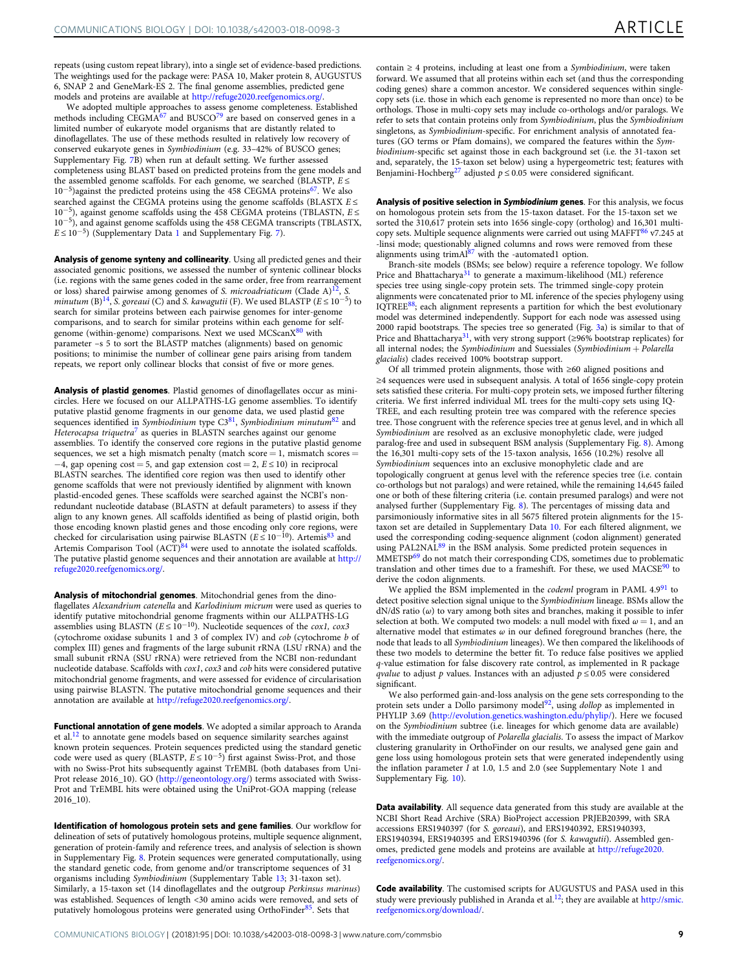repeats (using custom repeat library), into a single set of evidence-based predictions. The weightings used for the package were: PASA 10, Maker protein 8, AUGUSTUS 6, SNAP 2 and GeneMark-ES 2. The final genome assemblies, predicted gene models and proteins are available at <http://refuge2020.reefgenomics.org/>.

We adopted multiple approaches to assess genome completeness. Established methods including CEGMA<sup>[67](#page-10-0)</sup> and BUSCO<sup>[79](#page-10-0)</sup> are based on conserved genes in a limited number of eukaryote model organisms that are distantly related to dinoflagellates. The use of these methods resulted in relatively low recovery of conserved eukaryote genes in Symbiodinium (e.g. 33–42% of BUSCO genes; Supplementary Fig. 7B) when run at default setting. We further assessed completeness using BLAST based on predicted proteins from the gene models and the assembled genome scaffolds. For each genome, we searched (BLASTP,  $E \le$ 10<sup>−</sup>5)against the predicted proteins using the 458 CEGMA protein[s67.](#page-10-0) We also searched against the CEGMA proteins using the genome scaffolds (BLASTX  $E \le$ 10<sup>−</sup>5), against genome scaffolds using the 458 CEGMA proteins (TBLASTN, E ≤ 10<sup>−</sup>5), and against genome scaffolds using the 458 CEGMA transcripts (TBLASTX,  $E \le 10^{-5}$ ) (Supplementary Data 1 and Supplementary Fig. 7).

Analysis of genome synteny and collinearity. Using all predicted genes and their associated genomic positions, we assessed the number of syntenic collinear blocks (i.e. regions with the same genes coded in the same order, free from rearrangement or loss) shared pairwise among genomes of S. microadriaticum (Clade A)<sup>12</sup>, S. minutum (B)<sup>[14](#page-9-0)</sup>, S. goreaui (C) and S. kawagutii (F). We used BLASTP ( $E \le 10^{-5}$ ) to search for similar proteins between each pairwise genomes for inter-genome comparisons, and to search for similar proteins within each genome for self-genome (within-genome) comparisons. Next we used MCScanX<sup>[80](#page-10-0)</sup> with parameter –s 5 to sort the BLASTP matches (alignments) based on genomic positions; to minimise the number of collinear gene pairs arising from tandem repeats, we report only collinear blocks that consist of five or more genes.

Analysis of plastid genomes. Plastid genomes of dinoflagellates occur as minicircles. Here we focused on our ALLPATHS-LG genome assemblies. To identify putative plastid genome fragments in our genome data, we used plastid gene sequences identified in Symbiodinium type  $C3^{81}$  $C3^{81}$  $C3^{81}$ , Symbiodinium minutum $^{82}$  $^{82}$  $^{82}$  and Heterocapsa triquetra<sup>[7](#page-9-0)</sup> as queries in BLASTN searches against our genome assemblies. To identify the conserved core regions in the putative plastid genome sequences, we set a high mismatch penalty (match score  $= 1$ , mismatch scores  $=$  $-4$ , gap opening cost = 5, and gap extension cost = 2,  $E \le 10$ ) in reciprocal BLASTN searches. The identified core region was then used to identify other genome scaffolds that were not previously identified by alignment with known plastid-encoded genes. These scaffolds were searched against the NCBI's nonredundant nucleotide database (BLASTN at default parameters) to assess if they align to any known genes. All scaffolds identified as being of plastid origin, both those encoding known plastid genes and those encoding only core regions, were checked for circularisation using pairwise BLASTN ( $E \le 10^{-10}$ ). Artemis<sup>[83](#page-10-0)</sup> and Artemis Comparison Tool (ACT)<sup>[84](#page-10-0)</sup> were used to annotate the isolated scaffolds. The putative plastid genome sequences and their annotation are available at [http://](http://refuge2020.reefgenomics.org/) [refuge2020.reefgenomics.org/](http://refuge2020.reefgenomics.org/).

Analysis of mitochondrial genomes. Mitochondrial genes from the dinoflagellates Alexandrium catenella and Karlodinium micrum were used as queries to identify putative mitochondrial genome fragments within our ALLPATHS-LG assemblies using BLASTN ( $E \le 10^{-10}$ ). Nucleotide sequences of the cox1, cox3 (cytochrome oxidase subunits 1 and 3 of complex IV) and  $\cob$  (cytochrome b of complex III) genes and fragments of the large subunit rRNA (LSU rRNA) and the small subunit rRNA (SSU rRNA) were retrieved from the NCBI non-redundant nucleotide database. Scaffolds with cox1, cox3 and cob hits were considered putative mitochondrial genome fragments, and were assessed for evidence of circularisation using pairwise BLASTN. The putative mitochondrial genome sequences and their annotation are available at <http://refuge2020.reefgenomics.org/>.

Functional annotation of gene models. We adopted a similar approach to Aranda et al. $^{12}$  to annotate gene models based on sequence similarity searches against known protein sequences. Protein sequences predicted using the standard genetic code were used as query (BLASTP,  $E \le 10^{-5}$ ) first against Swiss-Prot, and those with no Swiss-Prot hits subsequently against TrEMBL (both databases from Uni-Prot release 2016\_10). GO [\(http://geneontology.org/](http://geneontology.org/)) terms associated with Swiss-Prot and TrEMBL hits were obtained using the UniProt-GOA mapping (release 2016\_10).

Identification of homologous protein sets and gene families. Our workflow for delineation of sets of putatively homologous proteins, multiple sequence alignment, generation of protein-family and reference trees, and analysis of selection is shown in Supplementary Fig. 8. Protein sequences were generated computationally, using the standard genetic code, from genome and/or transcriptome sequences of 31 organisms including Symbiodinium (Supplementary Table 13; 31-taxon set). Similarly, a 15-taxon set (14 dinoflagellates and the outgroup Perkinsus marinus) was established. Sequences of length <30 amino acids were removed, and sets of putatively homologous proteins were generated using OrthoFinder<sup>85</sup>. Sets that

contain ≥ 4 proteins, including at least one from a Symbiodinium, were taken forward. We assumed that all proteins within each set (and thus the corresponding coding genes) share a common ancestor. We considered sequences within singlecopy sets (i.e. those in which each genome is represented no more than once) to be orthologs. Those in multi-copy sets may include co-orthologs and/or paralogs. We refer to sets that contain proteins only from Symbiodinium, plus the Symbiodinium singletons, as Symbiodinium-specific. For enrichment analysis of annotated features (GO terms or Pfam domains), we compared the features within the Symbiodinium-specific set against those in each background set (i.e. the 31-taxon set and, separately, the 15-taxon set below) using a hypergeometric test; features with Benjamini-Hochberg<sup>[27](#page-9-0)</sup> adjusted  $p \le 0.05$  were considered significant.

Analysis of positive selection in Symbiodinium genes. For this analysis, we focus on homologous protein sets from the 15-taxon dataset. For the 15-taxon set we sorted the 310,617 protein sets into 1656 single-copy (ortholog) and 16,301 multi-copy sets. Multiple sequence alignments were carried out using MAFF[T86](#page-10-0) v7.245 at -linsi mode; questionably aligned columns and rows were removed from these alignments using trimAl[87](#page-10-0) with the -automated1 option.

Branch-site models (BSMs; see below) require a reference topology. We follow Price and Bhattacharya<sup>[31](#page-9-0)</sup> to generate a maximum-likelihood (ML) reference species tree using single-copy protein sets. The trimmed single-copy protein alignments were concatenated prior to ML inference of the species phylogeny using IQTREE<sup>88</sup>; each alignment represents a partition for which the best evolutionary model was determined independently. Support for each node was assessed using 2000 rapid bootstraps. The species tree so generated (Fig. [3a](#page-4-0)) is similar to that of Price and Bhattacharya<sup>31</sup>, with very strong support (≥96% bootstrap replicates) for all internal nodes; the Symbiodinium and Suessiales (Symbiodinium + Polarella glacialis) clades received 100% bootstrap support.

Of all trimmed protein alignments, those with ≥60 aligned positions and ≥4 sequences were used in subsequent analysis. A total of 1656 single-copy protein sets satisfied these criteria. For multi-copy protein sets, we imposed further filtering criteria. We first inferred individual ML trees for the multi-copy sets using IQ-TREE, and each resulting protein tree was compared with the reference species tree. Those congruent with the reference species tree at genus level, and in which all Symbiodinium are resolved as an exclusive monophyletic clade, were judged paralog-free and used in subsequent BSM analysis (Supplementary Fig. 8). Among the 16,301 multi-copy sets of the 15-taxon analysis, 1656 (10.2%) resolve all Symbiodinium sequences into an exclusive monophyletic clade and are topologically congruent at genus level with the reference species tree (i.e. contain co-orthologs but not paralogs) and were retained, while the remaining 14,645 failed one or both of these filtering criteria (i.e. contain presumed paralogs) and were not analysed further (Supplementary Fig. 8). The percentages of missing data and parsimoniously informative sites in all 5675 filtered protein alignments for the 15 taxon set are detailed in Supplementary Data 10. For each filtered alignment, we used the corresponding coding-sequence alignment (codon alignment) generated usion of PAL2NAL<sup>[89](#page-10-0)</sup> in the BSM analysis. Some predicted protein sequences in MMETSP[69](#page-10-0) do not match their corresponding CDS, sometimes due to problematic translation and other times due to a frameshift. For these, we used  $MACSE<sup>90</sup>$  $MACSE<sup>90</sup>$  $MACSE<sup>90</sup>$  to derive the codon alignments.

We applied the BSM implemented in the codeml program in PAML 4.9<sup>[91](#page-10-0)</sup> to detect positive selection signal unique to the Symbiodinium lineage. BSMs allow the  $dN/dS$  ratio ( $\omega$ ) to vary among both sites and branches, making it possible to infer selection at both. We computed two models: a null model with fixed  $\omega = 1$ , and an alternative model that estimates  $\omega$  in our defined foreground branches (here, the node that leads to all Symbiodinium lineages). We then compared the likelihoods of these two models to determine the better fit. To reduce false positives we applied q-value estimation for false discovery rate control, as implemented in R package *qvalue* to adjust p values. Instances with an adjusted  $p \le 0.05$  were considered significant.

We also performed gain-and-loss analysis on the gene sets corresponding to the protein sets under a Dollo parsimony model<sup>[92](#page-10-0)</sup>, using *dollop* as implemented in PHYLIP 3.69 ([http://evolution.genetics.washington.edu/phylip/\)](http://evolution.genetics.washington.edu/phylip/). Here we focused on the Symbiodinium subtree (i.e. lineages for which genome data are available) with the immediate outgroup of Polarella glacialis. To assess the impact of Markov clustering granularity in OrthoFinder on our results, we analysed gene gain and gene loss using homologous protein sets that were generated independently using the inflation parameter I at 1.0, 1.5 and 2.0 (see Supplementary Note 1 and Supplementary Fig. 10).

Data availability. All sequence data generated from this study are available at the NCBI Short Read Archive (SRA) BioProject accession PRJEB20399, with SRA accessions ERS1940397 (for S. goreaui), and ERS1940392, ERS1940393, ERS1940394, ERS1940395 and ERS1940396 (for S. kawagutii). Assembled genomes, predicted gene models and proteins are available at [http://refuge2020.](http://refuge2020.reefgenomics.org/) [reefgenomics.org/.](http://refuge2020.reefgenomics.org/)

Code availability. The customised scripts for AUGUSTUS and PASA used in this study were previously published in Aranda et al.<sup>[12](#page-9-0)</sup>; they are available at [http://smic.](http://smic.reefgenomics.org/download/) [reefgenomics.org/download/.](http://smic.reefgenomics.org/download/)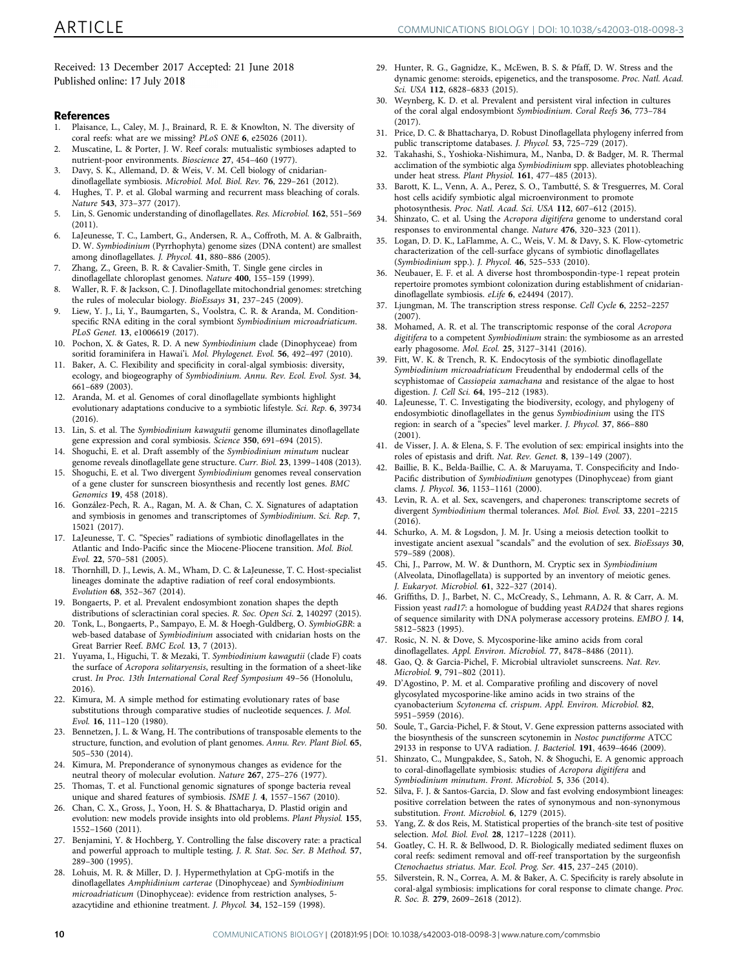<span id="page-9-0"></span>Received: 13 December 2017 Accepted: 21 June 2018 Published online: 17 July 2018

# **References**

- 1. Plaisance, L., Caley, M. J., Brainard, R. E. & Knowlton, N. The diversity of coral reefs: what are we missing? PLoS ONE 6, e25026 (2011).
- 2. Muscatine, L. & Porter, J. W. Reef corals: mutualistic symbioses adapted to nutrient-poor environments. Bioscience 27, 454–460 (1977).
- 3. Davy, S. K., Allemand, D. & Weis, V. M. Cell biology of cnidariandinoflagellate symbiosis. Microbiol. Mol. Biol. Rev. 76, 229–261 (2012).
- 4. Hughes, T. P. et al. Global warming and recurrent mass bleaching of corals. Nature 543, 373–377 (2017).
- 5. Lin, S. Genomic understanding of dinoflagellates. Res. Microbiol. 162, 551–569 (2011).
- 6. LaJeunesse, T. C., Lambert, G., Andersen, R. A., Coffroth, M. A. & Galbraith, D. W. Symbiodinium (Pyrrhophyta) genome sizes (DNA content) are smallest among dinoflagellates. J. Phycol. 41, 880–886 (2005).
- 7. Zhang, Z., Green, B. R. & Cavalier-Smith, T. Single gene circles in dinoflagellate chloroplast genomes. Nature 400, 155–159 (1999).
- 8. Waller, R. F. & Jackson, C. J. Dinoflagellate mitochondrial genomes: stretching the rules of molecular biology. BioEssays 31, 237–245 (2009).
- 9. Liew, Y. J., Li, Y., Baumgarten, S., Voolstra, C. R. & Aranda, M. Conditionspecific RNA editing in the coral symbiont Symbiodinium microadriaticum. PLoS Genet. 13, e1006619 (2017).
- 10. Pochon, X. & Gates, R. D. A new Symbiodinium clade (Dinophyceae) from soritid foraminifera in Hawai'i. Mol. Phylogenet. Evol. 56, 492-497 (2010).
- 11. Baker, A. C. Flexibility and specificity in coral-algal symbiosis: diversity, ecology, and biogeography of Symbiodinium. Annu. Rev. Ecol. Evol. Syst. 34, 661–689 (2003).
- 12. Aranda, M. et al. Genomes of coral dinoflagellate symbionts highlight evolutionary adaptations conducive to a symbiotic lifestyle. Sci. Rep. 6, 39734 (2016).
- 13. Lin, S. et al. The Symbiodinium kawagutii genome illuminates dinoflagellate gene expression and coral symbiosis. Science 350, 691–694 (2015).
- 14. Shoguchi, E. et al. Draft assembly of the Symbiodinium minutum nuclear genome reveals dinoflagellate gene structure. Curr. Biol. 23, 1399–1408 (2013).
- 15. Shoguchi, E. et al. Two divergent Symbiodinium genomes reveal conservation of a gene cluster for sunscreen biosynthesis and recently lost genes. BMC Genomics 19, 458 (2018).
- 16. González-Pech, R. A., Ragan, M. A. & Chan, C. X. Signatures of adaptation and symbiosis in genomes and transcriptomes of Symbiodinium. Sci. Rep. 7, 15021 (2017).
- 17. LaJeunesse, T. C. "Species" radiations of symbiotic dinoflagellates in the Atlantic and Indo-Pacific since the Miocene-Pliocene transition. Mol. Biol. Evol. 22, 570–581 (2005).
- 18. Thornhill, D. J., Lewis, A. M., Wham, D. C. & LaJeunesse, T. C. Host-specialist lineages dominate the adaptive radiation of reef coral endosymbionts. Evolution 68, 352–367 (2014).
- 19. Bongaerts, P. et al. Prevalent endosymbiont zonation shapes the depth distributions of scleractinian coral species. R. Soc. Open Sci. 2, 140297 (2015).
- 20. Tonk, L., Bongaerts, P., Sampayo, E. M. & Hoegh-Guldberg, O. SymbioGBR: a web-based database of Symbiodinium associated with cnidarian hosts on the Great Barrier Reef. BMC Ecol. 13, 7 (2013).
- 21. Yuyama, I., Higuchi, T. & Mezaki, T. Symbiodinium kawagutii (clade F) coats the surface of Acropora solitaryensis, resulting in the formation of a sheet-like crust. In Proc. 13th International Coral Reef Symposium 49–56 (Honolulu, 2016).
- 22. Kimura, M. A simple method for estimating evolutionary rates of base substitutions through comparative studies of nucleotide sequences. J. Mol. Evol. 16, 111–120 (1980).
- 23. Bennetzen, J. L. & Wang, H. The contributions of transposable elements to the structure, function, and evolution of plant genomes. Annu. Rev. Plant Biol. 65, 505–530 (2014).
- 24. Kimura, M. Preponderance of synonymous changes as evidence for the neutral theory of molecular evolution. Nature 267, 275–276 (1977).
- 25. Thomas, T. et al. Functional genomic signatures of sponge bacteria reveal unique and shared features of symbiosis. ISME J. 4, 1557–1567 (2010).
- 26. Chan, C. X., Gross, J., Yoon, H. S. & Bhattacharya, D. Plastid origin and evolution: new models provide insights into old problems. Plant Physiol. 155, 1552–1560 (2011).
- 27. Benjamini, Y. & Hochberg, Y. Controlling the false discovery rate: a practical and powerful approach to multiple testing. J. R. Stat. Soc. Ser. B Method. 57, 289–300 (1995).
- 28. Lohuis, M. R. & Miller, D. J. Hypermethylation at CpG-motifs in the dinoflagellates Amphidinium carterae (Dinophyceae) and Symbiodinium microadriaticum (Dinophyceae): evidence from restriction analyses, 5 azacytidine and ethionine treatment. J. Phycol. 34, 152–159 (1998).
- 29. Hunter, R. G., Gagnidze, K., McEwen, B. S. & Pfaff, D. W. Stress and the dynamic genome: steroids, epigenetics, and the transposome. Proc. Natl. Acad. Sci. USA 112, 6828–6833 (2015).
- 30. Weynberg, K. D. et al. Prevalent and persistent viral infection in cultures of the coral algal endosymbiont Symbiodinium. Coral Reefs 36, 773–784  $(2017)$
- 31. Price, D. C. & Bhattacharya, D. Robust Dinoflagellata phylogeny inferred from public transcriptome databases. J. Phycol. 53, 725–729 (2017).
- 32. Takahashi, S., Yoshioka-Nishimura, M., Nanba, D. & Badger, M. R. Thermal acclimation of the symbiotic alga Symbiodinium spp. alleviates photobleaching under heat stress. Plant Physiol. 161, 477–485 (2013).
- 33. Barott, K. L., Venn, A. A., Perez, S. O., Tambutté, S. & Tresguerres, M. Coral host cells acidify symbiotic algal microenvironment to promote photosynthesis. Proc. Natl. Acad. Sci. USA 112, 607–612 (2015).
- 34. Shinzato, C. et al. Using the Acropora digitifera genome to understand coral responses to environmental change. Nature 476, 320–323 (2011).
- 35. Logan, D. D. K., LaFlamme, A. C., Weis, V. M. & Davy, S. K. Flow-cytometric characterization of the cell-surface glycans of symbiotic dinoflagellates (Symbiodinium spp.). J. Phycol. 46, 525–533 (2010).
- 36. Neubauer, E. F. et al. A diverse host thrombospondin-type-1 repeat protein repertoire promotes symbiont colonization during establishment of cnidariandinoflagellate symbiosis. eLife 6, e24494 (2017).
- 37. Ljungman, M. The transcription stress response. Cell Cycle 6, 2252–2257  $(2007)$
- 38. Mohamed, A. R. et al. The transcriptomic response of the coral Acropora digitifera to a competent Symbiodinium strain: the symbiosome as an arrested early phagosome. Mol. Ecol. 25, 3127–3141 (2016).
- 39. Fitt, W. K. & Trench, R. K. Endocytosis of the symbiotic dinoflagellate Symbiodinium microadriaticum Freudenthal by endodermal cells of the scyphistomae of Cassiopeia xamachana and resistance of the algae to host digestion. J. Cell Sci. 64, 195–212 (1983).
- 40. LaJeunesse, T. C. Investigating the biodiversity, ecology, and phylogeny of endosymbiotic dinoflagellates in the genus Symbiodinium using the ITS region: in search of a "species" level marker. J. Phycol. 37, 866–880 (2001).
- 41. de Visser, J. A. & Elena, S. F. The evolution of sex: empirical insights into the roles of epistasis and drift. Nat. Rev. Genet. 8, 139–149 (2007).
- 42. Baillie, B. K., Belda-Baillie, C. A. & Maruyama, T. Conspecificity and Indo-Pacific distribution of Symbiodinium genotypes (Dinophyceae) from giant clams. J. Phycol. 36, 1153–1161 (2000).
- Levin, R. A. et al. Sex, scavengers, and chaperones: transcriptome secrets of divergent Symbiodinium thermal tolerances. Mol. Biol. Evol. 33, 2201–2215 (2016).
- 44. Schurko, A. M. & Logsdon, J. M. Jr. Using a meiosis detection toolkit to investigate ancient asexual "scandals" and the evolution of sex. BioEssays 30, 579–589 (2008).
- 45. Chi, J., Parrow, M. W. & Dunthorn, M. Cryptic sex in Symbiodinium (Alveolata, Dinoflagellata) is supported by an inventory of meiotic genes. J. Eukaryot. Microbiol. 61, 322–327 (2014).
- 46. Griffiths, D. J., Barbet, N. C., McCready, S., Lehmann, A. R. & Carr, A. M. Fission yeast rad17: a homologue of budding yeast RAD24 that shares regions of sequence similarity with DNA polymerase accessory proteins. EMBO J. 14, 5812–5823 (1995).
- 47. Rosic, N. N. & Dove, S. Mycosporine-like amino acids from coral dinoflagellates. Appl. Environ. Microbiol. 77, 8478–8486 (2011).
- 48. Gao, Q. & Garcia-Pichel, F. Microbial ultraviolet sunscreens. Nat. Rev. Microbiol. 9, 791–802 (2011).
- 49. D'Agostino, P. M. et al. Comparative profiling and discovery of novel glycosylated mycosporine-like amino acids in two strains of the cyanobacterium Scytonema cf. crispum. Appl. Environ. Microbiol. 82, 5951–5959 (2016).
- 50. Soule, T., Garcia-Pichel, F. & Stout, V. Gene expression patterns associated with the biosynthesis of the sunscreen scytonemin in Nostoc punctiforme ATCC 29133 in response to UVA radiation. J. Bacteriol. 191, 4639–4646 (2009).
- Shinzato, C., Mungpakdee, S., Satoh, N. & Shoguchi, E. A genomic approach to coral-dinoflagellate symbiosis: studies of Acropora digitifera and Symbiodinium minutum. Front. Microbiol. 5, 336 (2014).
- 52. Silva, F. J. & Santos-Garcia, D. Slow and fast evolving endosymbiont lineages: positive correlation between the rates of synonymous and non-synonymous substitution. Front. Microbiol. 6, 1279 (2015).
- 53. Yang, Z. & dos Reis, M. Statistical properties of the branch-site test of positive selection. Mol. Biol. Evol. 28, 1217–1228 (2011).
- 54. Goatley, C. H. R. & Bellwood, D. R. Biologically mediated sediment fluxes on coral reefs: sediment removal and off-reef transportation by the surgeonfish Ctenochaetus striatus. Mar. Ecol. Prog. Ser. 415, 237–245 (2010).
- 55. Silverstein, R. N., Correa, A. M. & Baker, A. C. Specificity is rarely absolute in coral-algal symbiosis: implications for coral response to climate change. Proc. R. Soc. B. 279, 2609–2618 (2012).